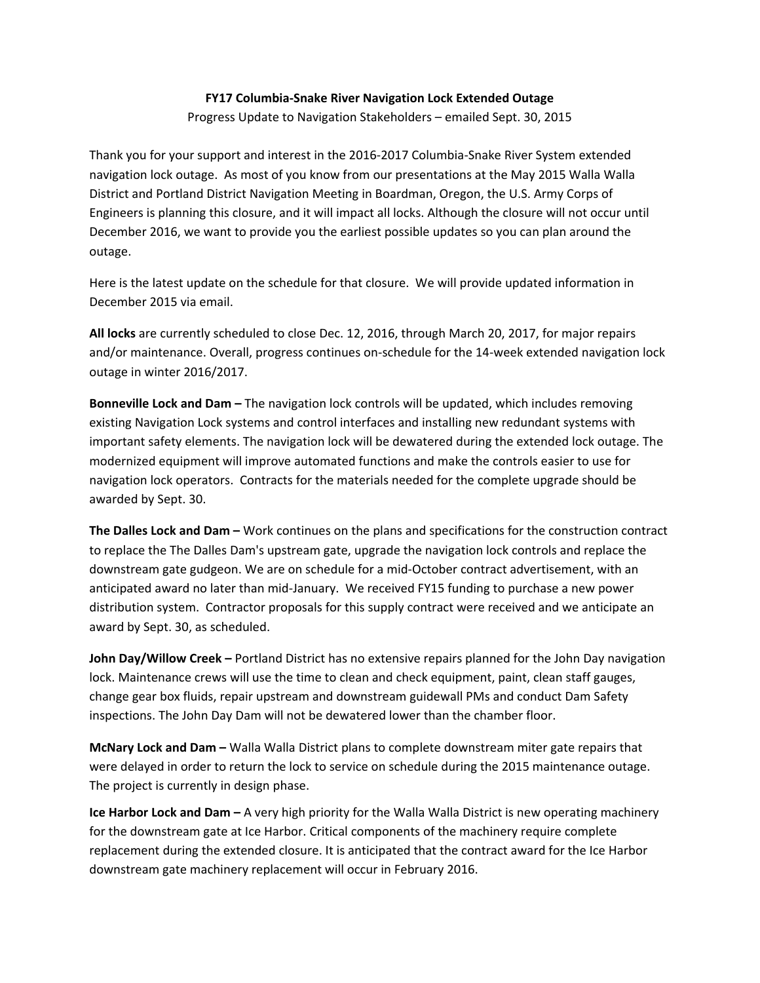## **FY17 Columbia‐Snake River Navigation Lock Extended Outage**

Progress Update to Navigation Stakeholders – emailed Sept. 30, 2015

Thank you for your support and interest in the 2016‐2017 Columbia‐Snake River System extended navigation lock outage. As most of you know from our presentations at the May 2015 Walla Walla District and Portland District Navigation Meeting in Boardman, Oregon, the U.S. Army Corps of Engineers is planning this closure, and it will impact all locks. Although the closure will not occur until December 2016, we want to provide you the earliest possible updates so you can plan around the outage.

Here is the latest update on the schedule for that closure. We will provide updated information in December 2015 via email.

**All locks** are currently scheduled to close Dec. 12, 2016, through March 20, 2017, for major repairs and/or maintenance. Overall, progress continues on‐schedule for the 14‐week extended navigation lock outage in winter 2016/2017.

**Bonneville Lock and Dam –** The navigation lock controls will be updated, which includes removing existing Navigation Lock systems and control interfaces and installing new redundant systems with important safety elements. The navigation lock will be dewatered during the extended lock outage. The modernized equipment will improve automated functions and make the controls easier to use for navigation lock operators. Contracts for the materials needed for the complete upgrade should be awarded by Sept. 30.

**The Dalles Lock and Dam –** Work continues on the plans and specifications for the construction contract to replace the The Dalles Dam's upstream gate, upgrade the navigation lock controls and replace the downstream gate gudgeon. We are on schedule for a mid‐October contract advertisement, with an anticipated award no later than mid‐January. We received FY15 funding to purchase a new power distribution system. Contractor proposals for this supply contract were received and we anticipate an award by Sept. 30, as scheduled.

**John Day/Willow Creek –** Portland District has no extensive repairs planned for the John Day navigation lock. Maintenance crews will use the time to clean and check equipment, paint, clean staff gauges, change gear box fluids, repair upstream and downstream guidewall PMs and conduct Dam Safety inspections. The John Day Dam will not be dewatered lower than the chamber floor.

**McNary Lock and Dam –** Walla Walla District plans to complete downstream miter gate repairs that were delayed in order to return the lock to service on schedule during the 2015 maintenance outage. The project is currently in design phase.

**Ice Harbor Lock and Dam –** A very high priority for the Walla Walla District is new operating machinery for the downstream gate at Ice Harbor. Critical components of the machinery require complete replacement during the extended closure. It is anticipated that the contract award for the Ice Harbor downstream gate machinery replacement will occur in February 2016.